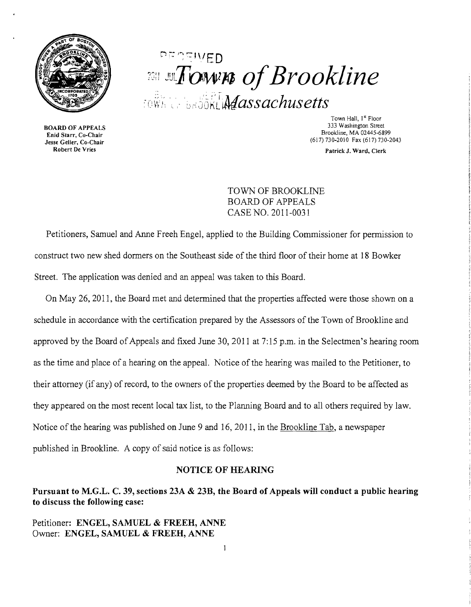

BOARD OF APPEALS Enid Starr, Co-Chair Jesse Geller, Co-Chair Robert De Vries

# $:$   $\mathbb{F}$   $\mathbb{C}$  in  $\mathbb{C}$  in  $\mathbb{C}$   $\mathbb{D}$ *<i>rown of Brookline*  $\tau$ ew $\kappa$ i, 'sağökli $\mathcal{M}$ assachusetts'

Town Hall, 1<sup>st</sup> Floor 333 Washington Street Brookline, MA 02445-6899 (617) 730-2010 Fax (617) 730-2043

Patrick J. Ward, Clerk

TOWN OF BROOKLINE BOARD OF APPEALS CASE NO. 2011-0031

Petitioners, Samuel and Anne Freeh Engel, applied to the Building Commissioner for permission to construct two new shed donners on the Southeast side of the third floor of their home at 18 Bowker Street. The application was denied and an appeal was taken to this Board.

On May 26, 2011, the Board met and determined that the properties affected were those shown on a schedule in accordance with the certification prepared by the Assessors of the Town of Brookline and approved by the Board of Appeals and fixed June 30, 2011 at 7:15 p.m. in the Selectmen's hearing room as the time and place of a hearing on the appeal. Notice of the hearing was mailed to the Petitioner, to their attorney (if any) of record, to the owners of the properties deemed by the Board to be affected as they appeared on the most recent local tax list, to the Planning Board and to all others required by law. Notice of the hearing was published on June 9 and 16,2011, in the Brookline Tab, a newspaper published in Brookline. A copy of said notice is as follows:

#### NOTICE OF HEARING

Pursuant to M.G.L. C. 39, sections 23A & 23B, the Board of Appeals will conduct a public hearing to discuss the following case:

Petitioner: ENGEL, SAMUEL & FREER, ANNE Owner: ENGEL, SAMUEL & FREER, ANNE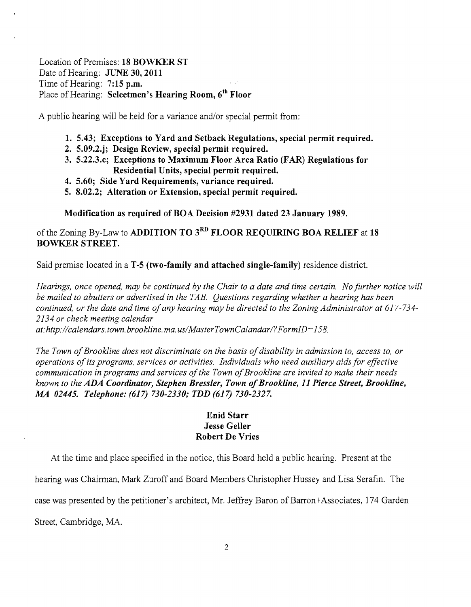# Location of Premises: **18 BOWKER ST**  Date of Hearing: **JUNE 30, 2011** Time of Hearing: **7:15 p.m.**  Place of Hearing: **Selectmen's Hearing Room,** *6th* **Floor**

A public hearing will be held for a variance and/or special permit from:

- **1. 5.43; Exceptions to Yard and Setback Regulations, special permit required.**
- **2. 5.09.2.j; Design Review, special permit required.**
- **3. 5.22.3.c; Exceptions to Maximum Floor Area Ratio (FAR) Regulations for Residential Units, special permit required.**
- **4. 5.60; Side Yard Requirements, variance required.**
- **5. 8.02.2; Alteration or Extension, special permit required.**

**Modification as required of BOA Decision #2931 dated 23 January 1989.** 

ofthe Zoning By-Law to **ADDITION TO 3RD FLOOR REQUIRING BOA RELIEF at 18 BOWKER STREET.** 

Said premise located in a **T-5 (two-family and attached single-family)** residence district.

*Hearings, once opened, may be continued by the Chair to a date and time certain. No further notice will be mailed to abutters or advertised in the TAB. Questions regarding whether a hearing has been*  continued, or the date and time of any hearing may be directed to the Zoning Administrator at 617-734-*2134 or check meeting calendar* 

*at:http://calendars.town.brookline.ma.usIMasterTownCalandarl?FormID=158.* 

*The Town ofBrookline does not discriminate on the basis ofdisability* in *admission to, access to, or operations ofits programs, services or activities. Individuals who need auxiliary aids for effective communication* in *programs and services ofthe Town ofBrookline are invited to make their needs known to the ADA Coordinator, Stephen Bressler, Town ofBrookline,* **11** *Pierce Street, Brookline, MA 02445. Telephone:* **(617)** *730-2330; TDD* **(617)** *730-2327.* 

# **Enid Starr Jesse Geller Robert De Vries**

At the time and place specified in the notice, this Board held a public hearing. Present at the

hearing was Chairman, Mark Zuroffand Board Members Christopher Hussey and Lisa Serafin. The

case was presented by the petitioner's architect, Mr. Jeffrey Baron of Barron+Associates, 174 Garden

Street, Cambridge, MA.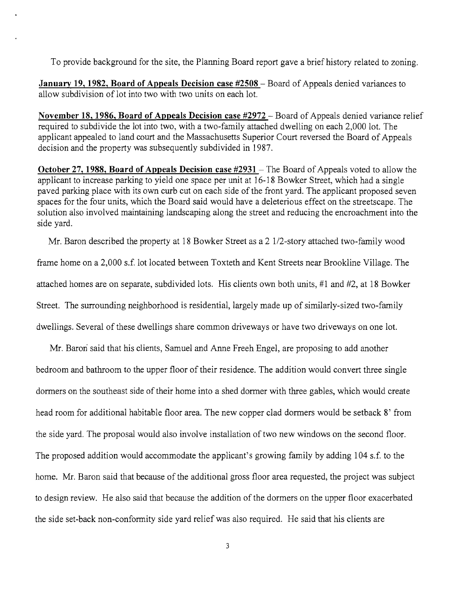To provide background for the site, the Planning Board report gave a brief history related to zoning.

**January 19, 1982, Board of Appeals Decision case #2508** - Board of Appeals denied variances to allow subdivision of lot into two with two units on each lot.

**November 18, 1986, Board of Appeals Decision case #2972** - Board of Appeals denied variance relief required to subdivide the lot into two, with a two-family attached dwelling on each 2,000 lot. The applicant appealed to land court and the Massachusetts Superior Court reversed the Board of Appeals decision and the property was subsequently subdivided in 1987.

**October 27, 1988, Board of Appeals Decision case #2931** – The Board of Appeals voted to allow the applicant to increase parking to yield one space per unit at 16-18 Bowker Street, which had a single paved parking place with its own curb cut on each side of the front yard. The applicant proposed seven spaces for the four units, which the Board said would have a deleterious effect on the streetscape. The solution also involved maintaining landscaping along the street and reducing the encroachment into the side yard.

Mr. Baron described the property at 18 Bowker Street as a 2 l/2-story attached two-family wood frame home on a 2,000 s.f. lot located between Toxteth and Kent Streets near Brookline Village. The attached homes are on separate, subdivided lots. His clients own both units, #1 and #2, at 18 Bowker Street. The surrounding neighborhood is residential, largely made up of similarly-sized two-family dwellings. Several of these dwellings share common driveways or have two driveways on one lot.

Mr. Baron said that his clients, Samuel and Anne Freeh Engel, are proposing to add another bedroom and bathroom to the upper floor of their residence. The addition would convert three single dormers on the southeast side of their home into a shed dormer with three gables, which would create head room for additional habitable floor area. The new copper clad dormers would be setback 8' from the side yard. The proposal would also involve installation of two new windows on the second floor. The proposed addition would accommodate the applicant's growing family by adding 104 s.f. to the home. Mr. Baron said that because of the additional gross floor area requested, the project was subject to design review. He also said that because the addition of the dormers on the upper floor exacerbated the side set-back non-conformity side yard relief was also required. He said that his clients are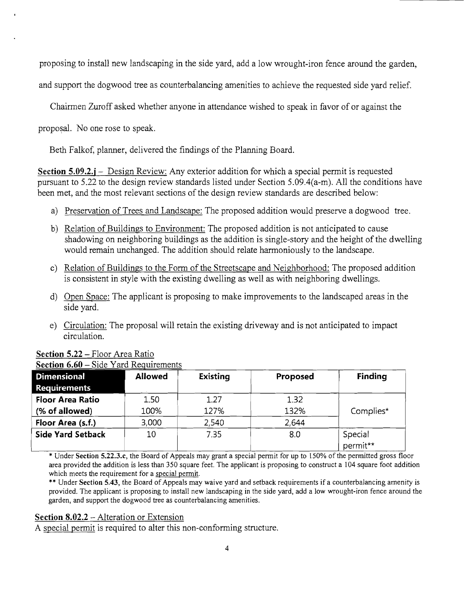proposing to install new landscaping in the side yard, add a low wrought-iron fence around the garden,

and support the dogwood tree as counterbalancing amenities to achieve the requested side yard relief.

Chairmen Zuroff asked whether anyone in attendance wished to speak in favor of or against the

proposal. No one rose to speak.

Beth Falkof, planner, delivered the findings of the Planning Board.

**Section 5.09.2.j** – Design Review: Any exterior addition for which a special permit is requested pursuant to 5.22 to the design review standards listed under Section 5.09.4(a-m). All the conditions have been met, and the most relevant sections of the design review standards are described below:

- a) Preservation of Trees and Landscape: The proposed addition would preserve a dogwood tree.
- b) Relation of Buildings to Environment: The proposed addition is not anticipated to cause shadowing on neighboring buildings as the addition is single-story and the height of the dwelling would remain unchanged. The addition should relate harmoniously to the landscape.
- c) Relation of Buildings to the Form of the Streetscape and Neighborhood: The proposed addition is consistent in style with the existing dwelling as well as with neighboring dwellings.
- d) Open Space: The applicant is proposing to make improvements to the landscaped areas in the side yard.
- e) Circulation: The proposal will retain the existing driveway and is not anticipated to impact circulation.

| <b>Dimensional</b>       | <b>Allowed</b> | <b>Existing</b> | Proposed | <b>Finding</b>      |
|--------------------------|----------------|-----------------|----------|---------------------|
| <b>Requirements</b>      |                |                 |          |                     |
| <b>Floor Area Ratio</b>  | 1.50           | 1.27            | 1.32     |                     |
| (% of allowed)           | 100%           | 127%            | 132%     | Complies*           |
| Floor Area (s.f.)        | 3,000          | 2,540           | 2,644    |                     |
| <b>Side Yard Setback</b> | 10             | 7.35            | 8.0      | Special<br>permit** |

# **Section 5.22** - Floor Area Ratio

\* Under Section 5.22.3.c, the Board of Appeals may grant a special permit for up to 150% ofthe permitted gross floor

area provided the addition is less than 350 square feet. The applicant is proposing to construct a 104 square foot addition which meets the requirement for a special permit.

\*\* Under Section 5.43, the Board of Appeals may waive yard and setback requirements if a counterbalancing amenity is provided. The applicant is proposing to install new landscaping in the side yard, add a low wrought-iron fence around the garden, and support the dogwood tree as counterbalancing amenities.

#### **Section 8.02.2** - Alteration or Extension

A special permit is required to alter this non-conforming structure.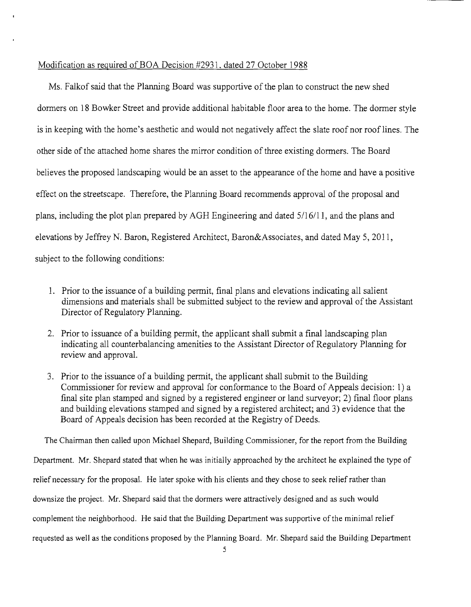### Modification as required of BOA Decision #2931, dated 27 October 1988

Ms. Falkof said that the Planning Board was supportive of the plan to construct the new shed dormers on 18 Bowker Street and provide additional habitable floor area to the home. The dormer style is in keeping with the home's aesthetic and would not negatively affect the slate roof nor roof lines. The other side of the attached home shares the mirror condition of three existing dormers. The Board believes the proposed landscaping would be an asset to the appearance of the home and have a positive effect on the streetscape. Therefore, the Planning Board recommends approval of the proposal and plans, including the plot plan prepared by AGH Engineering and dated 5/16/11, and the plans and elevations by Jeffrey N. Baron, Registered Architect, Baron&Associates, and dated May 5, 2011, subject to the following conditions:

- 1. Prior to the issuance of a building permit, final plans and elevations indicating all salient dimensions and materials shall be submitted subject to the review and approval of the Assistant Director of Regulatory Planning.
- 2. Prior to issuance of a building permit, the applicant shall submit a final landscaping plan indicating all counterbalancing amenities to the Assistant Director of Regulatory Planning for review and approval.
- 3. Prior to the issuance of a building permit, the applicant shall submit to the Building Commissioner for review and approval for conformance to the Board of Appeals decision: 1) a final site plan stamped and signed by a registered engineer or land surveyor; 2) final floor plans and building elevations stamped and signed by a registered architect; and 3) evidence that the Board of Appeals decision has been recorded at the Registry of Deeds.

The Chairman then called upon Michael Shepard, Building Commissioner, for the report from the Building Department. Mr. Shepard stated that when he was initially approached by the architect he explained the type of relief necessary for the proposal. He later spoke with his clients and they chose to seek relief rather than downsize the project. Mr. Shepard said that the dormers were attractively designed and as such would complement the neighborhood. He said that the Building Department was supportive ofthe minimal relief requested as well as the conditions proposed by the Planning Board. Mr. Shepard said the Building Department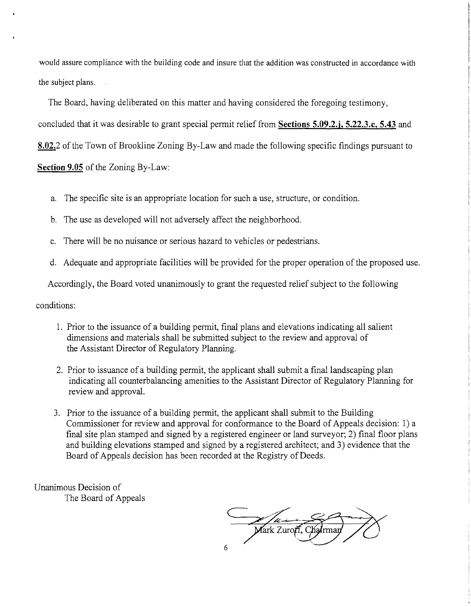would assure compliance with the building code and insure that the addition was constructed in accordance with the subject plans.

The Board, having deliberated on this matter and having considered the foregoing testimony,

concluded that it was desirable to grant special permit relief from **Sections 5.09.2.j, 5.22.3.c, 5.43 and** 

**8.02.2** of the Town of Brookline Zoning By-Law and made the following specific findings pursuant to

**Section 9.05** of the Zoning By-Law:

- a. The specific site is an appropriate location for such a use, structure, or condition.
- b. The use as developed will not adversely affect the neighborhood.
- c. There will be no nuisance or serious hazard to vehicles or pedestrians.
- d. Adequate and appropriate facilities will be provided for the proper operation of the proposed use.

Accordingly, the Board voted unanimously to grant the requested relief subject to the following

conditions:

- 1. Prior to the issuance of a building permit, final plans and elevations indicating all salient dimensions and materials shall be submitted subject to the review and approval of the Assistant Director of Regulatory Planning.
- 2. Prior to issuance of a building permit, the applicant shall submit a final landscaping plan indicating all counterbalancing amenities to the Assistant Director of Regulatory Planning for review and approval.
- 3. Prior to the issuance of a building permit, the applicant shall submit to the Building Commissioner for review and approval for conformance to the Board of Appeals decision: 1) a final site plan stamped and signed by a registered engineer or land surveyor; 2) final floor plans and building elevations stamped and signed by a registered architect; and 3) evidence that the Board of Appeals decision has been recorded at the Registry of Deeds.

Unanimous Decision of The Board of Appeals

Mark Zuroff, Chairman